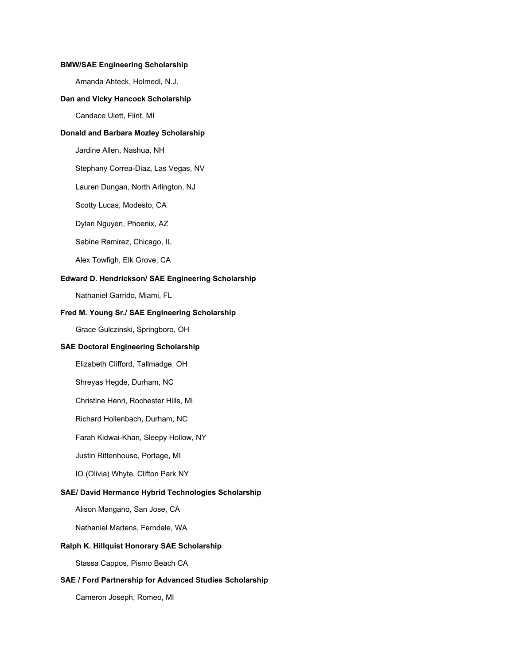#### **BMW/SAE Engineering Scholarship**

Amanda Ahteck, Holmedl, N.J.

#### **Dan and Vicky Hancock Scholarship**

Candace Ulett, Flint, MI

### **Donald and Barbara Mozley Scholarship**

Jardine Allen, Nashua, NH

Stephany Correa-Diaz, Las Vegas, NV

Lauren Dungan, North Arlington, NJ

Scotty Lucas, Modesto, CA

Dylan Nguyen, Phoenix, AZ

Sabine Ramirez, Chicago, IL

Alex Towfigh, Elk Grove, CA

### **Edward D. Hendrickson/ SAE Engineering Scholarship**

Nathaniel Garrido, Miami, FL

### **Fred M. Young Sr./ SAE Engineering Scholarship**

Grace Gulczinski, Springboro, OH

#### **SAE Doctoral Engineering Scholarship**

Elizabeth Clifford, Tallmadge, OH

Shreyas Hegde, Durham, NC

Christine Henri, Rochester Hills, MI

Richard Hollenbach, Durham, NC

Farah Kidwai-Khan, Sleepy Hollow, NY

Justin Rittenhouse, Portage, MI

IO (Olivia) Whyte, Clifton Park NY

#### **SAE/ David Hermance Hybrid Technologies Scholarship**

Alison Mangano, San Jose, CA

Nathaniel Martens, Ferndale, WA

#### **Ralph K. Hillquist Honorary SAE Scholarship**

Stassa Cappos, Pismo Beach CA

### **SAE / Ford Partnership for Advanced Studies Scholarship**

Cameron Joseph, Romeo, MI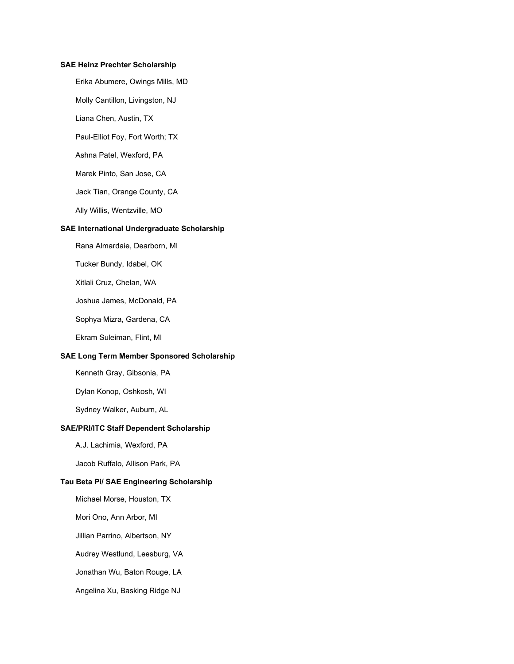### **SAE Heinz Prechter Scholarship**

Erika Abumere, Owings Mills, MD

Molly Cantillon, Livingston, NJ

Liana Chen, Austin, TX

Paul-Elliot Foy, Fort Worth; TX

Ashna Patel, Wexford, PA

Marek Pinto, San Jose, CA

Jack Tian, Orange County, CA

Ally Willis, Wentzville, MO

#### **SAE International Undergraduate Scholarship**

Rana Almardaie, Dearborn, MI

Tucker Bundy, Idabel, OK

Xitlali Cruz, Chelan, WA

Joshua James, McDonald, PA

Sophya Mizra, Gardena, CA

Ekram Suleiman, Flint, MI

### **SAE Long Term Member Sponsored Scholarship**

Kenneth Gray, Gibsonia, PA

Dylan Konop, Oshkosh, WI

Sydney Walker, Auburn, AL

#### **SAE/PRI/ITC Staff Dependent Scholarship**

A.J. Lachimia, Wexford, PA

Jacob Ruffalo, Allison Park, PA

# **Tau Beta Pi/ SAE Engineering Scholarship**

Michael Morse, Houston, TX

Mori Ono, Ann Arbor, MI

Jillian Parrino, Albertson, NY

Audrey Westlund, Leesburg, VA

Jonathan Wu, Baton Rouge, LA

Angelina Xu, Basking Ridge NJ